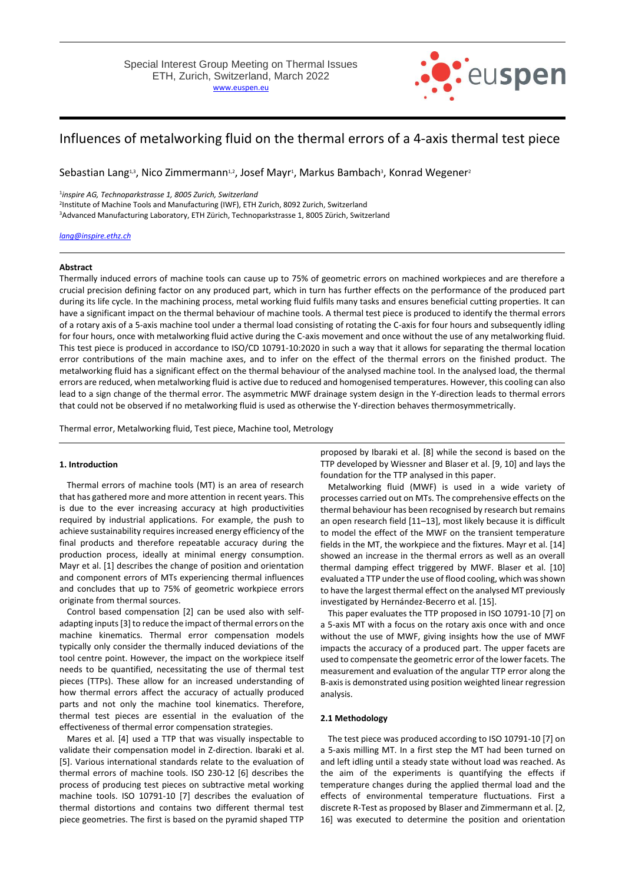

# Influences of metalworking fluid on the thermal errors of a 4-axis thermal test piece

Sebastian Lang13, Nico Zimmermann12, Josef Mayr1, Markus Bambach3, Konrad Wegener2

1 *inspire AG, Technoparkstrasse 1, 8005 Zurich, Switzerland* 2 Institute of Machine Tools and Manufacturing (IWF), ETH Zurich, 8092 Zurich, Switzerland <sup>3</sup>Advanced Manufacturing Laboratory, ETH Zürich, Technoparkstrasse 1, 8005 Zürich, Switzerland

*[lang@inspire.ethz.ch](mailto:lang@inspire.ethz.ch)*

#### **Abstract**

Thermally induced errors of machine tools can cause up to 75% of geometric errors on machined workpieces and are therefore a crucial precision defining factor on any produced part, which in turn has further effects on the performance of the produced part during its life cycle. In the machining process, metal working fluid fulfils many tasks and ensures beneficial cutting properties. It can have a significant impact on the thermal behaviour of machine tools. A thermal test piece is produced to identify the thermal errors of a rotary axis of a 5-axis machine tool under a thermal load consisting of rotating the C-axis for four hours and subsequently idling for four hours, once with metalworking fluid active during the C-axis movement and once without the use of any metalworking fluid. This test piece is produced in accordance to ISO/CD 10791-10:2020 in such a way that it allows for separating the thermal location error contributions of the main machine axes, and to infer on the effect of the thermal errors on the finished product. The metalworking fluid has a significant effect on the thermal behaviour of the analysed machine tool. In the analysed load, the thermal errors are reduced, when metalworking fluid is active due to reduced and homogenised temperatures. However, this cooling can also lead to a sign change of the thermal error. The asymmetric MWF drainage system design in the Y-direction leads to thermal errors that could not be observed if no metalworking fluid is used as otherwise the Y-direction behaves thermosymmetrically.

Thermal error, Metalworking fluid, Test piece, Machine tool, Metrology

# **1. Introduction**

Thermal errors of machine tools (MT) is an area of research that has gathered more and more attention in recent years. This is due to the ever increasing accuracy at high productivities required by industrial applications. For example, the push to achieve sustainability requires increased energy efficiency of the final products and therefore repeatable accuracy during the production process, ideally at minimal energy consumption. Mayr et al. [1] describes the change of position and orientation and component errors of MTs experiencing thermal influences and concludes that up to 75% of geometric workpiece errors originate from thermal sources.

Control based compensation [2] can be used also with selfadapting inputs [3] to reduce the impact of thermal errors on the machine kinematics. Thermal error compensation models typically only consider the thermally induced deviations of the tool centre point. However, the impact on the workpiece itself needs to be quantified, necessitating the use of thermal test pieces (TTPs). These allow for an increased understanding of how thermal errors affect the accuracy of actually produced parts and not only the machine tool kinematics. Therefore, thermal test pieces are essential in the evaluation of the effectiveness of thermal error compensation strategies.

Mares et al. [4] used a TTP that was visually inspectable to validate their compensation model in Z-direction. Ibaraki et al. [5]. Various international standards relate to the evaluation of thermal errors of machine tools. ISO 230-12 [6] describes the process of producing test pieces on subtractive metal working machine tools. ISO 10791-10 [7] describes the evaluation of thermal distortions and contains two different thermal test piece geometries. The first is based on the pyramid shaped TTP proposed by Ibaraki et al. [8] while the second is based on the TTP developed by Wiessner and Blaser et al. [9, 10] and lays the foundation for the TTP analysed in this paper.

Metalworking fluid (MWF) is used in a wide variety of processes carried out on MTs. The comprehensive effects on the thermal behaviour has been recognised by research but remains an open research field [11–13], most likely because it is difficult to model the effect of the MWF on the transient temperature fields in the MT, the workpiece and the fixtures. Mayr et al. [14] showed an increase in the thermal errors as well as an overall thermal damping effect triggered by MWF. Blaser et al. [10] evaluated a TTP under the use of flood cooling, which was shown to have the largest thermal effect on the analysed MT previously investigated by Hernández-Becerro et al. [15].

This paper evaluates the TTP proposed in ISO 10791-10 [7] on a 5-axis MT with a focus on the rotary axis once with and once without the use of MWF, giving insights how the use of MWF impacts the accuracy of a produced part. The upper facets are used to compensate the geometric error of the lower facets. The measurement and evaluation of the angular TTP error along the B-axis is demonstrated using position weighted linear regression analysis.

#### **2.1 Methodology**

The test piece was produced according to ISO 10791-10 [7] on a 5-axis milling MT. In a first step the MT had been turned on and left idling until a steady state without load was reached. As the aim of the experiments is quantifying the effects if temperature changes during the applied thermal load and the effects of environmental temperature fluctuations. First a discrete R-Test as proposed by Blaser and Zimmermann et al. [2, 16] was executed to determine the position and orientation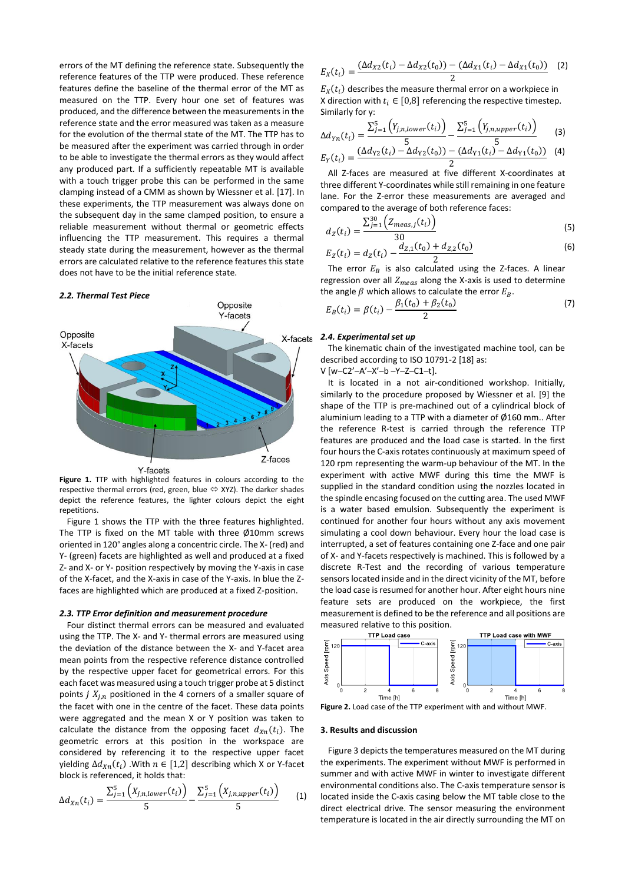errors of the MT defining the reference state. Subsequently the reference features of the TTP were produced. These reference features define the baseline of the thermal error of the MT as measured on the TTP. Every hour one set of features was produced, and the difference between the measurements in the reference state and the error measured was taken as a measure for the evolution of the thermal state of the MT. The TTP has to be measured after the experiment was carried through in order to be able to investigate the thermal errors as they would affect any produced part. If a sufficiently repeatable MT is available with a touch trigger probe this can be performed in the same clamping instead of a CMM as shown by Wiessner et al. [17]. In these experiments, the TTP measurement was always done on the subsequent day in the same clamped position, to ensure a reliable measurement without thermal or geometric effects influencing the TTP measurement. This requires a thermal steady state during the measurement, however as the thermal errors are calculated relative to the reference features this state does not have to be the initial reference state.

#### *2.2. Thermal Test Piece*



**Figure 1.** TTP with highlighted features in colours according to the respective thermal errors (red, green, blue  $\Leftrightarrow$  XYZ). The darker shades depict the reference features, the lighter colours depict the eight repetitions.

Figure 1 shows the TTP with the three features highlighted. The TTP is fixed on the MT table with three Ø10mm screws oriented in 120° angles along a concentric circle. The X- (red) and Y- (green) facets are highlighted as well and produced at a fixed Z- and X- or Y- position respectively by moving the Y-axis in case of the X-facet, and the X-axis in case of the Y-axis. In blue the Zfaces are highlighted which are produced at a fixed Z-position.

## *2.3. TTP Error definition and measurement procedure*

Four distinct thermal errors can be measured and evaluated using the TTP. The X- and Y- thermal errors are measured using the deviation of the distance between the X- and Y-facet area mean points from the respective reference distance controlled by the respective upper facet for geometrical errors. For this each facet was measured using a touch trigger probe at 5 distinct points  $j X_{i,n}$  positioned in the 4 corners of a smaller square of the facet with one in the centre of the facet. These data points were aggregated and the mean X or Y position was taken to calculate the distance from the opposing facet  $d_{Xn}(t_i)$ . The geometric errors at this position in the workspace are considered by referencing it to the respective upper facet yielding  $\Delta d_{Xn}(t_i)$  . With  $n \in [1,2]$  describing which X or Y-facet block is referenced, it holds that:

$$
\Delta d_{Xn}(t_i) = \frac{\sum_{j=1}^{5} (X_{j,n,lower}(t_i))}{5} - \frac{\sum_{j=1}^{5} (X_{j,n,upper}(t_i))}{5}
$$
(1)

$$
E_X(t_i) = \frac{(\Delta d_{X2}(t_i) - \Delta d_{X2}(t_0)) - (\Delta d_{X1}(t_i) - \Delta d_{X1}(t_0))}{2}
$$
 (2)

 $E_X(t_i)$  describes the measure thermal error on a workpiece in X direction with  $t_i \in [0,8]$  referencing the respective timestep. Similarly for y:

$$
\Delta d_{Yn}(t_i) = \frac{\sum_{j=1}^{5} (Y_{j,n,lower}(t_i))}{5} - \frac{\sum_{j=1}^{5} (Y_{j,n,upper}(t_i))}{5}
$$
(3)  

$$
E_Y(t_i) = \frac{(\Delta d_{Y2}(t_i) - \Delta d_{Y2}(t_0)) - (\Delta d_{Y1}(t_i) - \Delta d_{Y1}(t_0))}{2}
$$
(4)

All Z-faces are measured at five different X-coordinates at three different Y-coordinates while still remaining in one feature lane. For the Z-error these measurements are averaged and compared to the average of both reference faces:

$$
d_Z(t_i) = \frac{\sum_{j=1}^{30} \left( Z_{meas,j}(t_i) \right)}{30} \tag{5}
$$

$$
E_Z(t_i) = d_Z(t_i) - \frac{d_{Z,1}(t_0) + d_{Z,2}(t_0)}{2}
$$
 (6)

The error  $E_B$  is also calculated using the Z-faces. A linear regression over all  $Z_{meas}$  along the X-axis is used to determine the angle  $\beta$  which allows to calculate the error  $E_R$ .

$$
E_B(t_i) = \beta(t_i) - \frac{\beta_1(t_0) + \beta_2(t_0)}{2} \tag{7}
$$

### *2.4. Experimental set up*

The kinematic chain of the investigated machine tool, can be described according to ISO 10791-2 [18] as:

V [w–C2'–A'–X'–b –Y–Z–C1–t].

It is located in a not air-conditioned workshop. Initially, similarly to the procedure proposed by Wiessner et al. [9] the shape of the TTP is pre-machined out of a cylindrical block of aluminium leading to a TTP with a diameter of Ø160 mm.. After the reference R-test is carried through the reference TTP features are produced and the load case is started. In the first four hours the C-axis rotates continuously at maximum speed of 120 rpm representing the warm-up behaviour of the MT. In the experiment with active MWF during this time the MWF is supplied in the standard condition using the nozzles located in the spindle encasing focused on the cutting area. The used MWF is a water based emulsion. Subsequently the experiment is continued for another four hours without any axis movement simulating a cool down behaviour. Every hour the load case is interrupted, a set of features containing one Z-face and one pair of X- and Y-facets respectively is machined. This is followed by a discrete R-Test and the recording of various temperature sensors located inside and in the direct vicinity of the MT, before the load case is resumed for another hour. After eight hours nine feature sets are produced on the workpiece, the first measurement is defined to be the reference and all positions are measured relative to this position.



**Figure 2.** Load case of the TTP experiment with and without MWF.

## **3. Results and discussion**

Figure 3 depicts the temperatures measured on the MT during the experiments. The experiment without MWF is performed in summer and with active MWF in winter to investigate different environmental conditions also. The C-axis temperature sensor is located inside the C-axis casing below the MT table close to the direct electrical drive. The sensor measuring the environment temperature is located in the air directly surrounding the MT on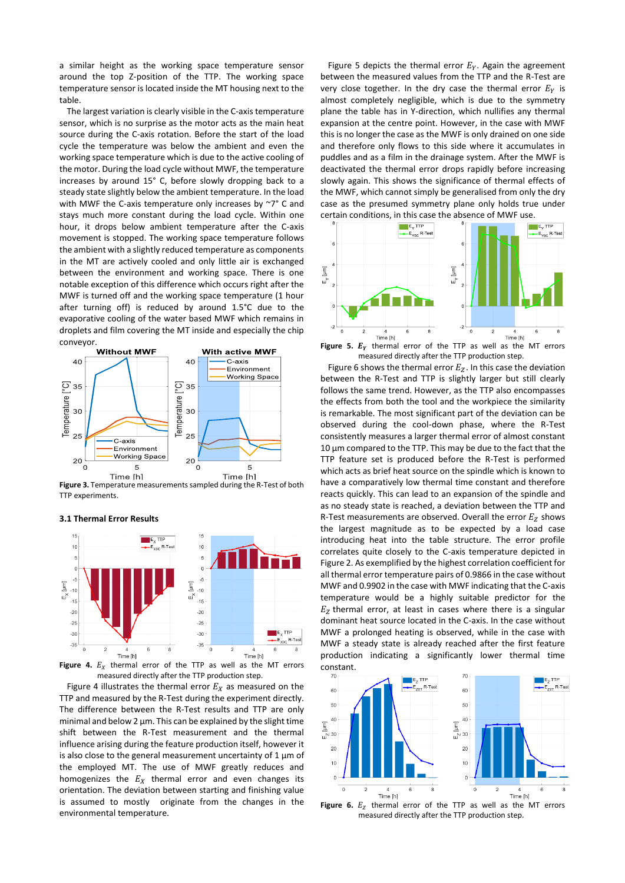a similar height as the working space temperature sensor around the top Z-position of the TTP. The working space temperature sensor is located inside the MT housing next to the table.

The largest variation is clearly visible in the C-axis temperature sensor, which is no surprise as the motor acts as the main heat source during the C-axis rotation. Before the start of the load cycle the temperature was below the ambient and even the working space temperature which is due to the active cooling of the motor. During the load cycle without MWF, the temperature increases by around 15° C, before slowly dropping back to a steady state slightly below the ambient temperature. In the load with MWF the C-axis temperature only increases by ~7° C and stays much more constant during the load cycle. Within one hour, it drops below ambient temperature after the C-axis movement is stopped. The working space temperature follows the ambient with a slightly reduced temperature as components in the MT are actively cooled and only little air is exchanged between the environment and working space. There is one notable exception of this difference which occurs right after the MWF is turned off and the working space temperature (1 hour after turning off) is reduced by around 1.5°C due to the evaporative cooling of the water based MWF which remains in droplets and film covering the MT inside and especially the chip



**Figure 3.** Temperature measurements sampled during the R-Test of both TTP experiments.

**3.1 Thermal Error Results**



**Figure 4.**  $E_X$  thermal error of the TTP as well as the MT errors measured directly after the TTP production step.

Figure 4 illustrates the thermal error  $E_X$  as measured on the TTP and measured by the R-Test during the experiment directly. The difference between the R-Test results and TTP are only minimal and below 2 µm. This can be explained by the slight time shift between the R-Test measurement and the thermal influence arising during the feature production itself, however it is also close to the general measurement uncertainty of  $1 \mu m$  of the employed MT. The use of MWF greatly reduces and homogenizes the  $E_X$  thermal error and even changes its orientation. The deviation between starting and finishing value is assumed to mostly originate from the changes in the environmental temperature.

Figure 5 depicts the thermal error  $E_v$ . Again the agreement between the measured values from the TTP and the R-Test are very close together. In the dry case the thermal error  $E_v$  is almost completely negligible, which is due to the symmetry plane the table has in Y-direction, which nullifies any thermal expansion at the centre point. However, in the case with MWF this is no longer the case as the MWF is only drained on one side and therefore only flows to this side where it accumulates in puddles and as a film in the drainage system. After the MWF is deactivated the thermal error drops rapidly before increasing slowly again. This shows the significance of thermal effects of the MWF, which cannot simply be generalised from only the dry case as the presumed symmetry plane only holds true under certain conditions, in this case the absence of MWF use.



**Figure 5.**  $E<sub>y</sub>$  thermal error of the TTP as well as the MT errors measured directly after the TTP production step.

Figure 6 shows the thermal error  $E_z$ . In this case the deviation between the R-Test and TTP is slightly larger but still clearly follows the same trend. However, as the TTP also encompasses the effects from both the tool and the workpiece the similarity is remarkable. The most significant part of the deviation can be observed during the cool-down phase, where the R-Test consistently measures a larger thermal error of almost constant 10 µm compared to the TTP. This may be due to the fact that the TTP feature set is produced before the R-Test is performed which acts as brief heat source on the spindle which is known to have a comparatively low thermal time constant and therefore reacts quickly. This can lead to an expansion of the spindle and as no steady state is reached, a deviation between the TTP and R-Test measurements are observed. Overall the error  $E<sub>Z</sub>$  shows the largest magnitude as to be expected by a load case introducing heat into the table structure. The error profile correlates quite closely to the C-axis temperature depicted in Figure 2. As exemplified by the highest correlation coefficient for all thermal error temperature pairs of 0.9866 in the case without MWF and 0.9902 in the case with MWF indicating that the C-axis temperature would be a highly suitable predictor for the  $E<sub>Z</sub>$  thermal error, at least in cases where there is a singular dominant heat source located in the C-axis. In the case without MWF a prolonged heating is observed, while in the case with MWF a steady state is already reached after the first feature production indicating a significantly lower thermal time constant.



**Figure 6.**  $E_Z$  thermal error of the TTP as well as the MT errors measured directly after the TTP production step.